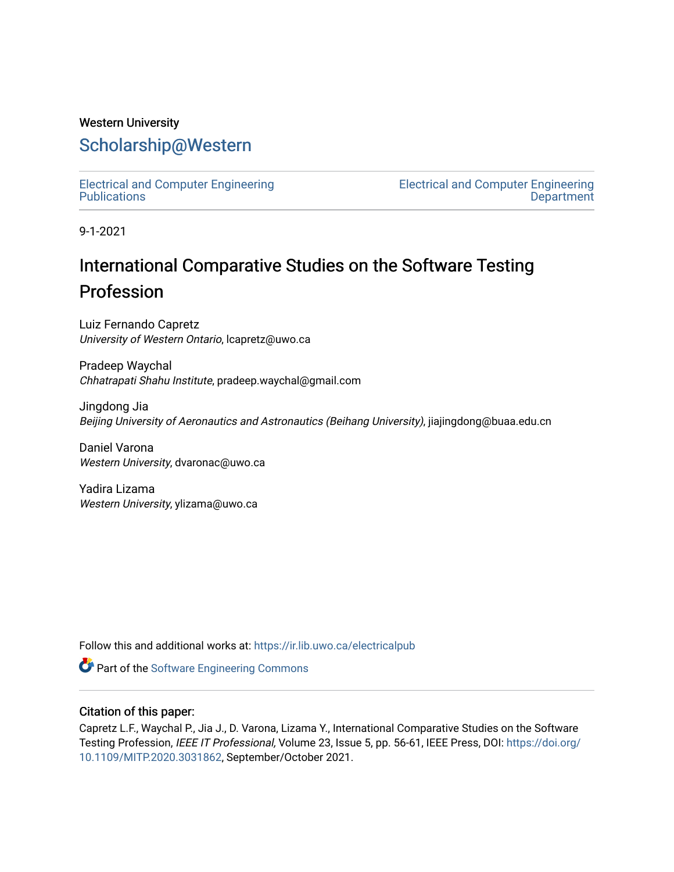### Western University [Scholarship@Western](https://ir.lib.uwo.ca/)

[Electrical and Computer Engineering](https://ir.lib.uwo.ca/electricalpub) **Publications** 

[Electrical and Computer Engineering](https://ir.lib.uwo.ca/electrical)  **Department** 

9-1-2021

## International Comparative Studies on the Software Testing Profession

Luiz Fernando Capretz University of Western Ontario, lcapretz@uwo.ca

Pradeep Waychal Chhatrapati Shahu Institute, pradeep.waychal@gmail.com

Jingdong Jia Beijing University of Aeronautics and Astronautics (Beihang University), jiajingdong@buaa.edu.cn

Daniel Varona Western University, dvaronac@uwo.ca

Yadira Lizama Western University, ylizama@uwo.ca

Follow this and additional works at: [https://ir.lib.uwo.ca/electricalpub](https://ir.lib.uwo.ca/electricalpub?utm_source=ir.lib.uwo.ca%2Felectricalpub%2F558&utm_medium=PDF&utm_campaign=PDFCoverPages) 

**Part of the Software Engineering Commons** 

#### Citation of this paper:

Capretz L.F., Waychal P., Jia J., D. Varona, Lizama Y., International Comparative Studies on the Software Testing Profession, IEEE IT Professional, Volume 23, Issue 5, pp. 56-61, IEEE Press, DOI: [https://doi.org/](https://doi.org/10.1109/MITP.2020.3031862) [10.1109/MITP.2020.3031862](https://doi.org/10.1109/MITP.2020.3031862), September/October 2021.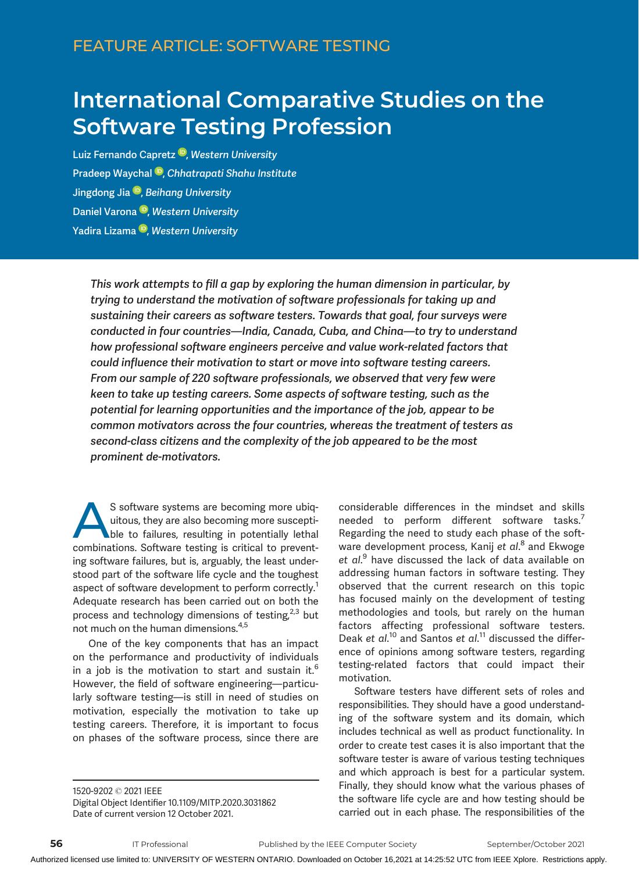# International Comparative Studies on the Software Testing Profession

Luiz Fernando Capretz<sup>®</sup>[,](https://orcid.org/0000-0001-6966-2369) Western University Pradeep Waychal <sup>(D</sup>[,](https://orcid.org/0000-0001-8142-2464) Chhatrapati Shahu Institute) Jingdong Jia <sup>ID</sup>[,](https://orcid.org/0000-0003-1143-5360) Beihang University D[a](https://orcid.org/0000-0003-2992-527X)niel Varona<sup>D</sup>[,](https://orcid.org/0000-0003-2992-527X) Western University Yadira Lizama<sup>®</sup>[,](https://orcid.org/0000-0002-0843-8213) Western University

This work attempts to fill a gap by exploring the human dimension in particular, by trying to understand the motivation of software professionals for taking up and sustaining their careers as software testers. Towards that goal, four surveys were conducted in four countries—India, Canada, Cuba, and China—to try to understand how professional software engineers perceive and value work-related factors that could influence their motivation to start or move into software testing careers. From our sample of 220 software professionals, we observed that very few were keen to take up testing careers. Some aspects of software testing, such as the potential for learning opportunities and the importance of the job, appear to be common motivators across the four countries, whereas the treatment of testers as second-class citizens and the complexity of the job appeared to be the most prominent de-motivators.

S software systems are becoming more ubiquitous, they are also becoming more susceptible to failures, resulting in potentially lethal<br>combinations. Software testing is critical to preventuitous, they are also becoming more susceptible to failures, resulting in potentially lethal combinations. Software testing is critical to preventing software failures, but is, arguably, the least understood part of the software life cycle and the toughest aspect of software development to perform correctly.<sup>1</sup> Adequate research has been carried out on both the process and technology dimensions of testing, $2,3$  but not much on the human dimensions.4,5

One of the key components that has an impact on the performance and productivity of individuals in a job is the motivation to start and sustain it.<sup>6</sup> However, the field of software engineering—particularly software testing—is still in need of studies on motivation, especially the motivation to take up testing careers. Therefore, it is important to focus on phases of the software process, since there are

considerable differences in the mindset and skills needed to perform different software tasks.<sup>7</sup> Regarding the need to study each phase of the software development process, Kanij *et al*.<sup>8</sup> and Ekwoge et al.<sup>9</sup> have discussed the lack of data available on addressing human factors in software testing. They observed that the current research on this topic has focused mainly on the development of testing methodologies and tools, but rarely on the human factors affecting professional software testers. Deak et al.<sup>10</sup> and Santos et al.<sup>11</sup> discussed the difference of opinions among software testers, regarding testing-related factors that could impact their motivation.

Software testers have different sets of roles and responsibilities. They should have a good understanding of the software system and its domain, which includes technical as well as product functionality. In order to create test cases it is also important that the software tester is aware of various testing techniques and which approach is best for a particular system. Finally, they should know what the various phases of the software life cycle are and how testing should be carried out in each phase. The responsibilities of the

<sup>1520-9202</sup> 2021 IEEE

Digital Object Identifier 10.1109/MITP.2020.3031862 Date of current version 12 October 2021.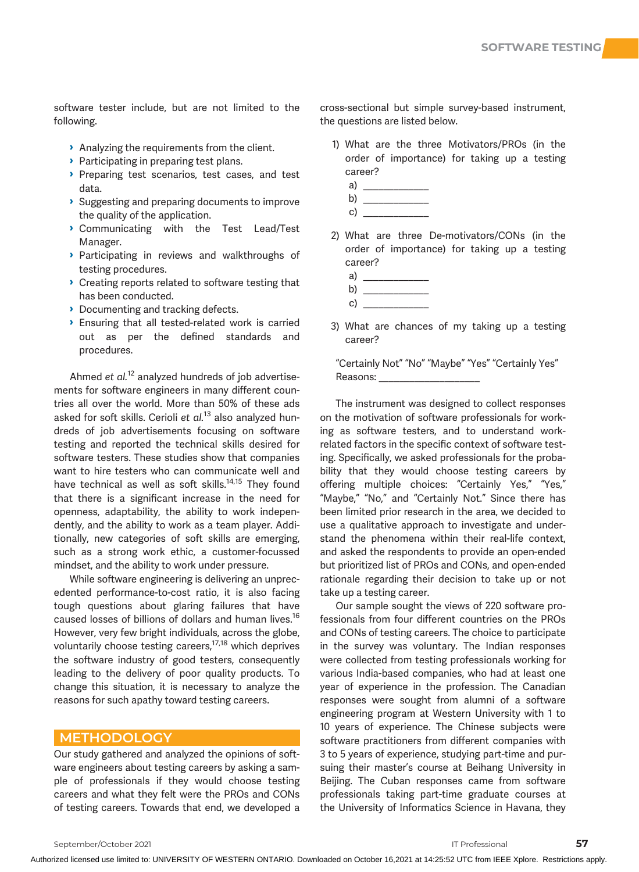software tester include, but are not limited to the following.

- › Analyzing the requirements from the client.
- › Participating in preparing test plans.
- › Preparing test scenarios, test cases, and test data.
- › Suggesting and preparing documents to improve the quality of the application.
- › Communicating with the Test Lead/Test Manager.
- › Participating in reviews and walkthroughs of testing procedures.
- › Creating reports related to software testing that has been conducted.
- › Documenting and tracking defects.
- › Ensuring that all tested-related work is carried out as per the defined standards and procedures.

Ahmed et  $al$ .<sup>12</sup> analyzed hundreds of job advertisements for software engineers in many different countries all over the world. More than 50% of these ads asked for soft skills. Cerioli et  $al$ .<sup>13</sup> also analyzed hundreds of job advertisements focusing on software testing and reported the technical skills desired for software testers. These studies show that companies want to hire testers who can communicate well and have technical as well as soft skills.<sup>14,15</sup> They found that there is a significant increase in the need for openness, adaptability, the ability to work independently, and the ability to work as a team player. Additionally, new categories of soft skills are emerging, such as a strong work ethic, a customer-focussed mindset, and the ability to work under pressure.

While software engineering is delivering an unprecedented performance-to-cost ratio, it is also facing tough questions about glaring failures that have caused losses of billions of dollars and human lives.<sup>16</sup> However, very few bright individuals, across the globe, voluntarily choose testing careers,<sup>17,18</sup> which deprives the software industry of good testers, consequently leading to the delivery of poor quality products. To change this situation, it is necessary to analyze the reasons for such apathy toward testing careers.

#### METHODOLOGY **Andrew Street Street Street Street Street**

Our study gathered and analyzed the opinions of software engineers about testing careers by asking a sample of professionals if they would choose testing careers and what they felt were the PROs and CONs of testing careers. Towards that end, we developed a cross-sectional but simple survey-based instrument, the questions are listed below.

1) What are the three Motivators/PROs (in the order of importance) for taking up a testing career?



2) What are three De-motivators/CONs (in the order of importance) for taking up a testing career?



- c) \_\_\_\_\_\_\_\_\_\_\_\_\_
- 3) What are chances of my taking up a testing career?

"Certainly Not" "No" "Maybe" "Yes" "Certainly Yes" Reasons:

The instrument was designed to collect responses on the motivation of software professionals for working as software testers, and to understand workrelated factors in the specific context of software testing. Specifically, we asked professionals for the probability that they would choose testing careers by offering multiple choices: "Certainly Yes," "Yes," "Maybe," "No," and "Certainly Not." Since there has been limited prior research in the area, we decided to use a qualitative approach to investigate and understand the phenomena within their real-life context, and asked the respondents to provide an open-ended but prioritized list of PROs and CONs, and open-ended rationale regarding their decision to take up or not take up a testing career.

Our sample sought the views of 220 software professionals from four different countries on the PROs and CONs of testing careers. The choice to participate in the survey was voluntary. The Indian responses were collected from testing professionals working for various India-based companies, who had at least one year of experience in the profession. The Canadian responses were sought from alumni of a software engineering program at Western University with 1 to 10 years of experience. The Chinese subjects were software practitioners from different companies with 3 to 5 years of experience, studying part-time and pursuing their master's course at Beihang University in Beijing. The Cuban responses came from software professionals taking part-time graduate courses at the University of Informatics Science in Havana, they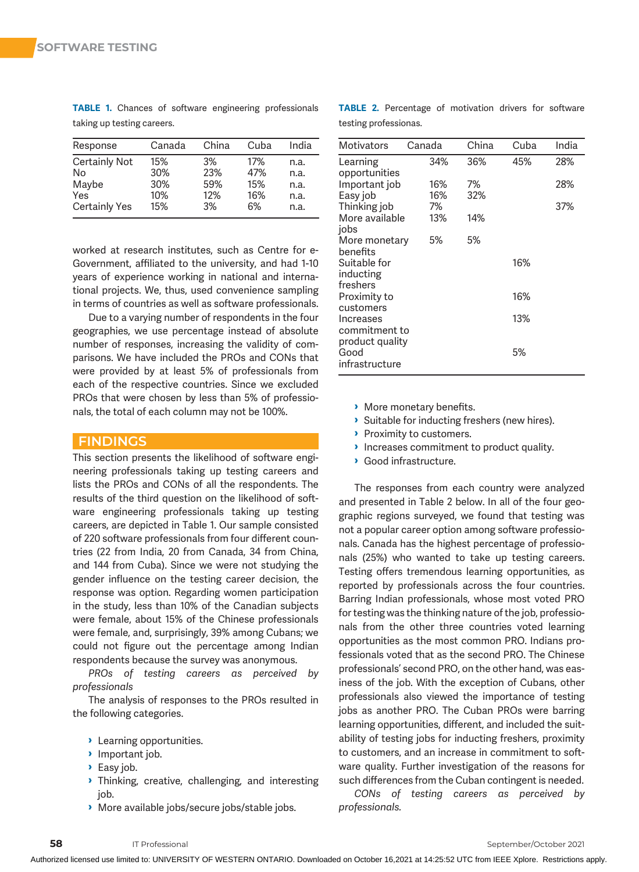| Response             | Canada | China | Cuba | India |
|----------------------|--------|-------|------|-------|
| <b>Certainly Not</b> | 15%    | 3%    | 17%  | n.a.  |
| No                   | 30%    | 23%   | 47%  | n.a.  |
| Maybe                | 30%    | 59%   | 15%  | n.a.  |
| Yes                  | 10%    | 12%   | 16%  | n.a.  |
| <b>Certainly Yes</b> | 15%    | 3%    | 6%   | n.a.  |

TABLE 1. Chances of software engineering professionals taking up testing careers.

worked at research institutes, such as Centre for e-Government, affiliated to the university, and had 1-10 years of experience working in national and international projects. We, thus, used convenience sampling in terms of countries as well as software professionals.

Due to a varying number of respondents in the four geographies, we use percentage instead of absolute number of responses, increasing the validity of comparisons. We have included the PROs and CONs that were provided by at least 5% of professionals from each of the respective countries. Since we excluded PROs that were chosen by less than 5% of professionals, the total of each column may not be 100%.

#### **FINDINGS**

This section presents the likelihood of software engineering professionals taking up testing careers and lists the PROs and CONs of all the respondents. The results of the third question on the likelihood of software engineering professionals taking up testing careers, are depicted in Table 1. Our sample consisted of 220 software professionals from four different countries (22 from India, 20 from Canada, 34 from China, and 144 from Cuba). Since we were not studying the gender influence on the testing career decision, the response was option. Regarding women participation in the study, less than 10% of the Canadian subjects were female, about 15% of the Chinese professionals were female, and, surprisingly, 39% among Cubans; we could not figure out the percentage among Indian respondents because the survey was anonymous.

PROs of testing careers as perceived by professionals

The analysis of responses to the PROs resulted in the following categories.

- › Learning opportunities.
- **Important job.**
- › Easy job.
- › Thinking, creative, challenging, and interesting job.
- › More available jobs/secure jobs/stable jobs.

TABLE 2. Percentage of motivation drivers for software testing professionas.

| <b>Motivators</b> | Canada | China | Cuba | India |
|-------------------|--------|-------|------|-------|
| Learning          | 34%    | 36%   | 45%  | 28%   |
| opportunities     |        |       |      |       |
| Important job     | 16%    | 7%    |      | 28%   |
| Easy job          | 16%    | 32%   |      |       |
| Thinking job      | 7%     |       |      | 37%   |
| More available    | 13%    | 14%   |      |       |
| jobs              |        |       |      |       |
| More monetary     | 5%     | 5%    |      |       |
| benefits          |        |       |      |       |
| Suitable for      |        |       | 16%  |       |
| inducting         |        |       |      |       |
| freshers          |        |       |      |       |
| Proximity to      |        |       | 16%  |       |
| customers         |        |       |      |       |
| Increases         |        |       | 13%  |       |
| commitment to     |        |       |      |       |
| product quality   |        |       |      |       |
| Good              |        |       | 5%   |       |
| infrastructure    |        |       |      |       |
|                   |        |       |      |       |

- › More monetary benefits.
- › Suitable for inducting freshers (new hires).
- **Proximity to customers.**
- **Increases commitment to product quality.**
- › Good infrastructure.

The responses from each country were analyzed and presented in Table 2 below. In all of the four geographic regions surveyed, we found that testing was not a popular career option among software professionals. Canada has the highest percentage of professionals (25%) who wanted to take up testing careers. Testing offers tremendous learning opportunities, as reported by professionals across the four countries. Barring Indian professionals, whose most voted PRO for testing was the thinking nature of the job, professionals from the other three countries voted learning opportunities as the most common PRO. Indians professionals voted that as the second PRO. The Chinese professionals' second PRO, on the other hand, was easiness of the job. With the exception of Cubans, other professionals also viewed the importance of testing jobs as another PRO. The Cuban PROs were barring learning opportunities, different, and included the suitability of testing jobs for inducting freshers, proximity to customers, and an increase in commitment to software quality. Further investigation of the reasons for such differences from the Cuban contingent is needed.

CONs of testing careers as perceived by professionals.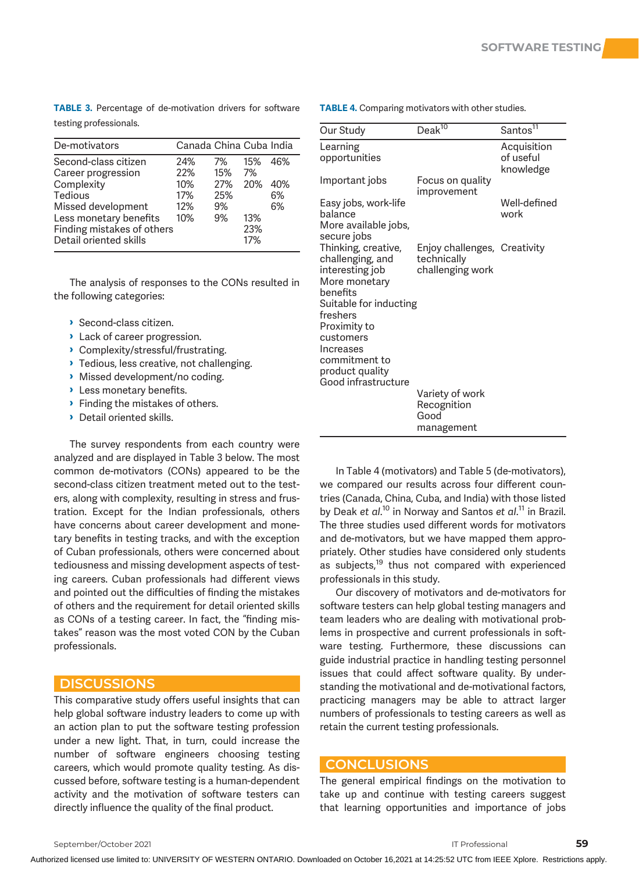TABLE 3. Percentage of de-motivation drivers for software testing professionals.

| De-motivators                                                                                                                                                               | Canada China Cuba India                |                                     |                                       |                        |
|-----------------------------------------------------------------------------------------------------------------------------------------------------------------------------|----------------------------------------|-------------------------------------|---------------------------------------|------------------------|
| Second-class citizen<br>Career progression<br>Complexity<br>Tedious<br>Missed development<br>Less monetary benefits<br>Finding mistakes of others<br>Detail oriented skills | 24%<br>22%<br>10%<br>17%<br>12%<br>10% | 7%<br>15%<br>27%<br>25%<br>9%<br>9% | 15%<br>7%<br>20%<br>13%<br>23%<br>17% | 46%<br>40%<br>6%<br>6% |

The analysis of responses to the CONs resulted in the following categories:

- › Second-class citizen.
- › Lack of career progression.
- › Complexity/stressful/frustrating.
- **I** Tedious, less creative, not challenging.
- › Missed development/no coding.
- **>** Less monetary benefits.
- › Finding the mistakes of others.
- › Detail oriented skills.

The survey respondents from each country were analyzed and are displayed in Table 3 below. The most common de-motivators (CONs) appeared to be the second-class citizen treatment meted out to the testers, along with complexity, resulting in stress and frustration. Except for the Indian professionals, others have concerns about career development and monetary benefits in testing tracks, and with the exception of Cuban professionals, others were concerned about tediousness and missing development aspects of testing careers. Cuban professionals had different views and pointed out the difficulties of finding the mistakes of others and the requirement for detail oriented skills as CONs of a testing career. In fact, the "finding mistakes" reason was the most voted CON by the Cuban professionals.

#### **DISCUSSIONS**

This comparative study offers useful insights that can help global software industry leaders to come up with an action plan to put the software testing profession under a new light. That, in turn, could increase the number of software engineers choosing testing careers, which would promote quality testing. As discussed before, software testing is a human-dependent activity and the motivation of software testers can directly influence the quality of the final product.

| Our Study                                                                               | Deak $\overline{^{10}}$                                         | Santos <sup>11</sup>                  |
|-----------------------------------------------------------------------------------------|-----------------------------------------------------------------|---------------------------------------|
| Learning<br>opportunities                                                               |                                                                 | Acquisition<br>of useful<br>knowledge |
| Important jobs                                                                          | Focus on quality<br>improvement                                 |                                       |
| Easy jobs, work-life<br>balance<br>More available jobs,<br>secure jobs                  |                                                                 | Well-defined<br>work                  |
| Thinking, creative,<br>challenging, and<br>interesting job<br>More monetary<br>benefits | Enjoy challenges, Creativity<br>technically<br>challenging work |                                       |
| Suitable for inducting<br>freshers                                                      |                                                                 |                                       |
| Proximity to<br>customers<br>Increases<br>commitment to                                 |                                                                 |                                       |
| product quality                                                                         |                                                                 |                                       |
| Good infrastructure                                                                     | Variety of work<br>Recognition<br>Good<br>management            |                                       |

TABLE 4. Comparing motivators with other studies.

In Table 4 (motivators) and Table 5 (de-motivators), we compared our results across four different countries (Canada, China, Cuba, and India) with those listed by Deak et al.<sup>10</sup> in Norway and Santos et al.<sup>11</sup> in Brazil. The three studies used different words for motivators and de-motivators, but we have mapped them appropriately. Other studies have considered only students as subjects, $19$  thus not compared with experienced professionals in this study.

Our discovery of motivators and de-motivators for software testers can help global testing managers and team leaders who are dealing with motivational problems in prospective and current professionals in software testing. Furthermore, these discussions can guide industrial practice in handling testing personnel issues that could affect software quality. By understanding the motivational and de-motivational factors, practicing managers may be able to attract larger numbers of professionals to testing careers as well as retain the current testing professionals.

#### **CONCLUSIONS**

The general empirical findings on the motivation to take up and continue with testing careers suggest that learning opportunities and importance of jobs

Authorized licensed use limited to: UNIVERSITY OF WESTERN ONTARIO. Downloaded on October 16,2021 at 14:25:52 UTC from IEEE Xplore. Restrictions apply.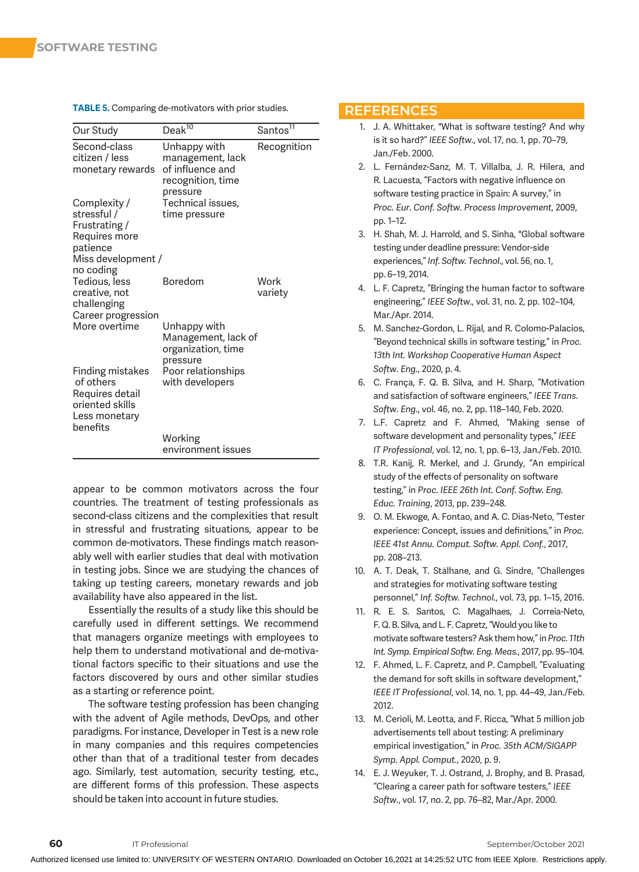| Our Study                                                       | Deak $\overline{^{10}}$                                                               | Santos <sup>11</sup> |
|-----------------------------------------------------------------|---------------------------------------------------------------------------------------|----------------------|
| Second-class<br>citizen / less<br>monetary rewards              | Unhappy with<br>management, lack<br>of influence and<br>recognition, time<br>pressure | Recognition          |
| Complexity /                                                    | Technical issues.                                                                     |                      |
| stressful /                                                     | time pressure                                                                         |                      |
| Frustrating /<br>Requires more                                  |                                                                                       |                      |
| patience                                                        |                                                                                       |                      |
| Miss development /                                              |                                                                                       |                      |
| no coding                                                       |                                                                                       |                      |
| Tedious, less                                                   | <b>Boredom</b>                                                                        | Work                 |
| creative, not                                                   |                                                                                       | variety              |
| challenging<br>Career progression                               |                                                                                       |                      |
| More overtime                                                   | Unhappy with<br>Management, lack of<br>organization, time<br>pressure                 |                      |
| Finding mistakes<br>of others                                   | Poor relationships<br>with developers                                                 |                      |
| Requires detail<br>oriented skills<br>Less monetary<br>benefits |                                                                                       |                      |
|                                                                 | Working<br>environment issues                                                         |                      |

TABLE 5. Comparing de-motivators with prior studies.

appear to be common motivators across the four countries. The treatment of testing professionals as second-class citizens and the complexities that result in stressful and frustrating situations, appear to be common de-motivators. These findings match reasonably well with earlier studies that deal with motivation in testing jobs. Since we are studying the chances of taking up testing careers, monetary rewards and job availability have also appeared in the list.

Essentially the results of a study like this should be carefully used in different settings. We recommend that managers organize meetings with employees to help them to understand motivational and de-motivational factors specific to their situations and use the factors discovered by ours and other similar studies as a starting or reference point.

The software testing profession has been changing with the advent of Agile methods, DevOps, and other paradigms. For instance, Developer in Test is a new role in many companies and this requires competencies other than that of a traditional tester from decades ago. Similarly, test automation, security testing, etc., are different forms of this profession. These aspects should be taken into account in future studies.

#### **REFERENCES**

- 1. J. A. Whittaker, "What is software testing? And why is it so hard?" IEEE Softw., vol. 17, no. 1, pp. 70–79, Jan./Feb. 2000.
- 2. L. Fernández-Sanz, M. T. Villalba, J. R. Hilera, and R. Lacuesta, "Factors with negative influence on software testing practice in Spain: A survey," in Proc. Eur. Conf. Softw. Process Improvement, 2009, pp. 1–12.
- 3. H. Shah, M. J. Harrold, and S. Sinha, "Global software testing under deadline pressure: Vendor-side experiences," Inf. Softw. Technol., vol. 56, no. 1, pp. 6–19, 2014.
- 4. L. F. Capretz, "Bringing the human factor to software engineering," IEEE Softw., vol. 31, no. 2, pp. 102–104, Mar./Apr. 2014.
- 5. M. Sanchez-Gordon, L. Rijal, and R. Colomo-Palacios, "Beyond technical skills in software testing," in Proc. 13th Int. Workshop Cooperative Human Aspect Softw. Eng., 2020, p. 4.
- 6. C. França, F. Q. B. Silva, and H. Sharp, "Motivation and satisfaction of software engineers," IEEE Trans. Softw. Eng., vol. 46, no. 2, pp. 118–140, Feb. 2020.
- 7. L.F. Capretz and F. Ahmed, "Making sense of software development and personality types," IEEE IT Professional, vol. 12, no. 1, pp. 6–13, Jan./Feb. 2010.
- 8. T.R. Kanij, R. Merkel, and J. Grundy, "An empirical study of the effects of personality on software testing," in Proc. IEEE 26th Int. Conf. Softw. Eng. Educ. Training, 2013, pp. 239–248.
- 9. O. M. Ekwoge, A. Fontao, and A. C. Dias-Neto, "Tester experience: Concept, issues and definitions," in Proc. IEEE 41st Annu. Comput. Softw. Appl. Conf., 2017, pp. 208–213.
- 10. A. T. Deak, T. Stålhane, and G. Sindre, "Challenges and strategies for motivating software testing personnel," Inf. Softw. Technol., vol. 73, pp. 1–15, 2016.
- 11. R. E. S. Santos, C. Magalhaes, J. Correia-Neto, F. Q. B. Silva, and L. F. Capretz, "Would you like to motivate software testers? Ask them how," in Proc. 11th Int. Symp. Empirical Softw. Eng. Meas., 2017, pp. 95–104.
- 12. F. Ahmed, L. F. Capretz, and P. Campbell, "Evaluating the demand for soft skills in software development," IEEE IT Professional, vol. 14, no. 1, pp. 44–49, Jan./Feb. 2012.
- 13. M. Cerioli, M. Leotta, and F. Ricca, "What 5 million job advertisements tell about testing: A preliminary empirical investigation," in Proc. 35th ACM/SIGAPP Symp. Appl. Comput., 2020, p. 9.
- 14. E. J. Weyuker, T. J. Ostrand, J. Brophy, and B. Prasad, "Clearing a career path for software testers," IEEE Softw., vol. 17, no. 2, pp. 76–82, Mar./Apr. 2000.